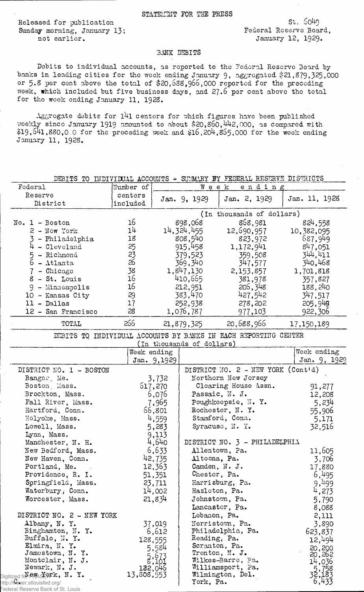Released for publication St. S049<br>Sunday morning. January 13: Sunday Federal Roserve Board. Sunday morning, January 13;<br>not earlier.

January 12, 1929.

## BANK DEBITS

Debits to individual accounts, as reported to the Federal Reserve Board by banks in leading cities for the week ending January 9, aggregated \$21,879,325,000 or 5.8 per cent above the total of \$20,638,966,000 reported for the preceding week, which included but five business days, and  $27.6$  per cent above the total for the week ending January 11, 1928.

 $\Lambda$ ggregate debits for  $141$  centers for which figures have been published  $\pi$ eekly since January 1919 amounted to about \$20,860,442,000, as compared with  $$19,641,880,0.0$  for the preceding week and  $$16,204,855,000$  for the week ending January 11, 1928.

| DEBITS TO INDIVIDUAL ACCOUNTS - SUMMARY BY FEDERAL RESERVE DISTRICTS            |                     |                       |                               |                                                                 |                          |  |  |
|---------------------------------------------------------------------------------|---------------------|-----------------------|-------------------------------|-----------------------------------------------------------------|--------------------------|--|--|
| Federal                                                                         | Number of           | Węek<br>ending        |                               |                                                                 |                          |  |  |
| Reserve<br>District                                                             | centers<br>included |                       | Jan. 9, 1929                  | Jan. 2, 1929                                                    | Jan. 11, 1928            |  |  |
|                                                                                 |                     |                       | (In thousands of dollars)     |                                                                 |                          |  |  |
| $No. 1 - Boston$                                                                | 16                  |                       | 898,068                       | 868,981                                                         | 824,558                  |  |  |
| $2 - Now York$                                                                  | 14                  | 14, 324, 455          |                               | 12,690,957                                                      | 10,382,095               |  |  |
| 3 - Philadelphia                                                                | 18                  | 808,540               |                               | 823,972                                                         | 687,949                  |  |  |
| $4 - C1$ eveland                                                                | 25                  | 915,458               |                               | 1,172,941                                                       | 847,051                  |  |  |
| 5<br>- Richmond                                                                 | 23                  | 379,523               |                               | 359,508                                                         | 344,411                  |  |  |
| 6<br>$-$ Atlanta                                                                | 26                  | 369,340               |                               | 347,577                                                         | 340,468                  |  |  |
| - Chicago<br>7                                                                  | 38                  | 1,847,130             |                               | 2,153,857                                                       | 1,701,818                |  |  |
| 8 - St. Louis                                                                   | 16                  | 410,665               |                               | 381,978                                                         | 357,827                  |  |  |
| $9 -$ Minneapolis                                                               | 16                  |                       | 212,951                       | 206,348                                                         | 188,240                  |  |  |
| 10 - Kansas City                                                                | 29                  |                       | 383,470                       | 427,542                                                         | 347,517                  |  |  |
| $11 - Dallas$                                                                   | 17                  |                       | 252,938                       | 278,202                                                         | 205,94g                  |  |  |
| 12 - San Francisco                                                              | 28                  |                       | 1,076,787                     | 977,103                                                         | 922,306                  |  |  |
| TOTAL                                                                           | 266                 |                       | 21,879,325                    | 20,688,966                                                      | 17,150,189               |  |  |
|                                                                                 |                     |                       |                               |                                                                 |                          |  |  |
|                                                                                 |                     |                       |                               | DEBITS TO INDIVIDUAL ACCOUNTS BY BANKS IN EACH REPORTING CENTER |                          |  |  |
|                                                                                 | Week ending         |                       | (In thousands of dollars)     |                                                                 | Week ending              |  |  |
|                                                                                 |                     | Jan. 9,1929           |                               |                                                                 | Jan. 9, 1929             |  |  |
|                                                                                 |                     |                       |                               | DISTRICT NO. 2 - NEW YORK (Cont'd)                              |                          |  |  |
| DISTRICT NO. 1 - BOSTON                                                         |                     |                       |                               | Northern New Jersey                                             |                          |  |  |
| Bangor, Me.<br>Boston, Mass.                                                    |                     | 3,732                 |                               | Clearing House Assn.                                            |                          |  |  |
| Brockton, Mass.                                                                 |                     | 617,270<br>6,076      |                               | Passaic, N. J.                                                  | 91,277<br>12,208         |  |  |
| Fall River, Mass.                                                               |                     | 7,965                 |                               | Poughkeepsie, N.Y.                                              | 5,234                    |  |  |
| Hartford, Conn.                                                                 |                     | 66,801                |                               | Rochester, N. Y.                                                | 55,906                   |  |  |
| Holyoke, Mass.                                                                  |                     | 4,559                 |                               | Stamford, Conn.                                                 | 5,171                    |  |  |
| Lowell, Mass.                                                                   |                     | 5,283                 |                               | Syracuse, N.Y.                                                  | 32,516                   |  |  |
| Lynn, Mass.                                                                     |                     | 9,113                 |                               |                                                                 |                          |  |  |
| Manchester, N. H.                                                               |                     | 4,640                 |                               | DISTRICT NO. 3 - PHILADELPHIA                                   |                          |  |  |
| New Bedford, Mass.                                                              |                     | 6,633                 | Allentown, Pa.                |                                                                 | 11,605                   |  |  |
| New Haven, Conn.                                                                |                     | 42,735                | Altoona, Pa.                  |                                                                 | 3,706                    |  |  |
| Portland, Me.<br>$\sim$ $\sim$                                                  |                     | 12,363                |                               | Camden, N. J.                                                   | 17,880                   |  |  |
| Providence, R. I.                                                               |                     | 51,351                | Chester, Pa.                  |                                                                 | 6,495                    |  |  |
| Springfield, Mass.                                                              |                     | 23,711                |                               | Harrisburg, Pa.                                                 | 9,499                    |  |  |
| Waterbury, Conn.                                                                |                     | 14,002                | Hazleton, Pa.                 |                                                                 | 4,273                    |  |  |
| Worcester, Mass.                                                                |                     | 21,834                |                               | Johnstown, Pa.                                                  | 5,790                    |  |  |
|                                                                                 |                     |                       |                               | Lancaster, Pa.                                                  | 8,088                    |  |  |
| DISTRICT NO. 2 - NEW YORK                                                       |                     |                       | Lebanon, Pa.                  |                                                                 | 2,111                    |  |  |
| Albany, N. Y.                                                                   |                     | 37,019                |                               | Norristown, Pa.                                                 | 3,890                    |  |  |
| Binghamton, N.Y.                                                                |                     | 6,612                 |                               | Philadelphia, Pa.                                               | 623,837                  |  |  |
| Buffalo, N.Y.<br>Elmira, N.Y.                                                   |                     | 128,555               | Reading, Pa.<br>Scranton, Pa. |                                                                 | 12,494                   |  |  |
| Jamestown, N.Y.                                                                 |                     | 5,584                 |                               | Trenton, N. J.                                                  | 20,200                   |  |  |
| Montclair, N. J.                                                                |                     | $\frac{5,673}{8,101}$ |                               | Wilkes-Barre, Pa.                                               | 20,262<br>14,036         |  |  |
| Newark, N. J.                                                                   |                     | 132,046               |                               | Williamsport, Pa.                                               |                          |  |  |
| Digitized for $\rho_{\text{W}}$ $\propto$ $\chi_{\text{W}}$ , $\chi_{\text{W}}$ | 13,808,553          |                       |                               | Wilmington, Del.                                                | 5,758<br>32,183<br>6,433 |  |  |
| http://fraser.stlouisfed.org/                                                   |                     |                       | York, Pa.                     |                                                                 |                          |  |  |
| Federal Reserve Bank of St. Louis                                               |                     |                       |                               |                                                                 |                          |  |  |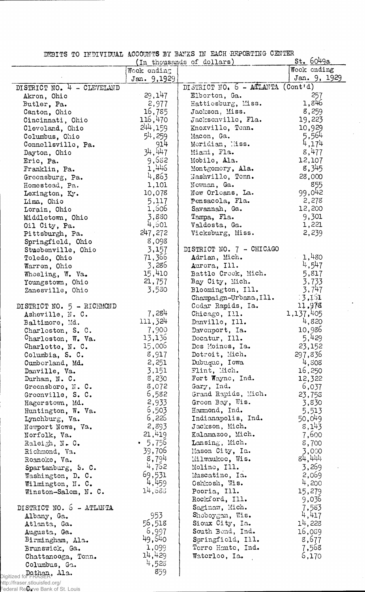DEBITS TO INDIVIDUAL ACCOUNTS BY BANKS IN EACH REPORTING CENTER

 $\sim$  $\mathcal{L}_{\mathcal{A}}$ 

|                                  |               | (In thousands of dollars)         | st.6049a     |
|----------------------------------|---------------|-----------------------------------|--------------|
|                                  | Wook ending   |                                   | Wook ending  |
|                                  | Jan. 9,1929   |                                   | Jan. 9, 1929 |
| DISTRICT NO. 4 - CLEVELAND       |               | DISTRICT NO. 6 - ATLANTA (Cont'd) |              |
| Akron, Ohio                      | 29,147        | Elberton, Ga.                     | 257          |
| Butler, Pa.                      | 2,977         | Hattiesburg, Miss.                | 1,846        |
| Canton, Ohio                     | 16,785        | Jackson, Miss.                    | 8,259        |
| Cincinnati, Ohio                 | 116,470       | Jacksonville, Fla.                | 19,223       |
| Cleveland, Ohio                  | 244, 159      | Knoxville, Tenn.                  | 10,929       |
| Columbus, Ohio                   | 54,259        | Macon, Ga.                        | 5,564        |
| Connellsville, Pa.               | 914           | Moridian, liss.                   | 4,174        |
| Dayton, Ohio                     | 34,447        | Miami, Fla.                       | 8,477        |
| Eric, Pa.                        | 9,682         | Mobile, Ala.                      | 12,107       |
| Franklin, Pa.                    | 1,446         | Montgomery, Ala.                  | 8,345        |
| Greensburg, Pa.                  | 4,863         | Nashville, Tonn.                  | 28,000       |
| Homestead, Pa.                   | 1,101         | Nowman, Ga.                       | 855          |
| Lexington, Ky.                   | 10,078        | New Orleans, La.                  | 99,042       |
| Lima, Ohio                       | 5,117         | Pensacola, Fla.                   | 2,278        |
| Lorain, Ohio                     | 1,506         | Savannah, Ga.                     | 12,200       |
| Middletown, Ohio                 | 3,830         | Tampa, Fla.                       | 9,301        |
| Oil City, Pa.                    | 4,501         | Valdosta, Ga.                     | 1,221        |
| Pittsburgh, Pa.                  | 247,272       | Vicksburg, Miss.                  | 2,239        |
| Springfield, Ohio                | 8,098         |                                   |              |
| Stuebenville, Ohio               | 3,157         | DISTRICT NO. 7 - CHICAGO          |              |
| Toledo, Ohio                     | 71,366        | Adrian, Mich.                     | 1,480        |
| Warren, Ohio                     | 3,286         | Aurora, Ill.                      | 4,547        |
| Wheeling, W. Va.                 | 15,410        | Battle Crock, Mich.               | 5,817        |
| Youngstown, Ohio                 | 21,757        | Bay City, Mich.                   | 3,733        |
| Zanesville, Ohio                 | 3,580         | Bloomington, Ill.                 | 3,747        |
|                                  |               | Champaign-Urbana, Ill.            | $-3,151$     |
| DISTRICT NO. 5 - RICHMOND        |               | Codar Rapids, Ia.                 | 11,978       |
| Asheville, N. C.                 | 7,284         | Chicago, Ill.                     | 1,137,405    |
| Baltimore, Md.                   | 111,324       | Danville, Ill.                    | 4,820        |
| Charleston, S. C.                | 7,900         | Davenport, Ia.                    | 10,986       |
| Charleston, W. Va.               | 13,136        | Docatur, Ill.                     | 5,429        |
| Charlotte, N. C.                 | 15,006        | Des Moines, Ia.                   | 23,152       |
| Columbia, S. C.                  | 8,917         | Dotroit, Mich.                    | 297,836      |
| Cumberland, Md.                  | 2,251         | Dubuque, Iowa                     | 4,508        |
| Danville, Va.                    | 3,151         | Flint, Mich.                      | 16,250       |
| Durham, N. C.                    | 8,230         | Fort Wayne, Ind.                  | 12,322       |
| Greensboro, N.C.                 | 8,072         | Gary, Ind.                        | 6,037        |
| Greenville, S. C.                | 6,582         | Grand Rapids, Mich.               | 23,758       |
| Hagerstown, Md.                  | 2,933         | Green Bay, Wis.                   | 3,830        |
| Huntington, W. Va.               | 6,503         | Hammond, Ind.                     | 5,513        |
| Lynchburg, Va.                   | 6,226         | Indianapolis, Ind.                | 50,049       |
| Newport Nows, Va.                | 2,893         | Jackson, Mich.                    | 8,143        |
| Norfolk, Va.                     | 21,419        | Kalamazoo, Mich.                  | 7,600        |
| Raleigh, N. C.                   | $\cdot$ 5,756 | Lansing, Mich.                    | 8,700        |
| Richmond, Va.                    | 39,706        | Mason City, Ia.                   | 3,000        |
| Roanoke, Va.                     | 8,794         | Milwaukoc, Wis.                   | 84,444       |
| Spartanburg, S. C.               | 4,762         | Molino, Ill.                      | 3,269        |
| Washington, D. C.                | 69,531        | Muscatine, Ia.                    | 2,069        |
| Wilmington, N. C.                | 4,459         | Oshkosh, Wis.                     | 4,200        |
| Winston-Salem, N. C.             | 14,583        | Peoria, Ill.                      | 15,279       |
|                                  |               | Rockford, Ill.                    | 9,036        |
| DISTRICT NO. 5 - ATLANTA         |               | Saginaw, Mich.                    | 7,583        |
| Albany, Ga.                      | 953           | Shoboygan, Wis.                   | 4,417        |
| Atlanta, Ga.                     | 56,518        | Sioux City, Ia.                   | 14,228       |
| Augusta, Ga.                     | 6,997         | South Bend, Ind.                  | 16,089       |
| Birmingham, Ala.                 | 49,640        | Springfield, Ill.                 | 8,677        |
| Brunswick, Ga.                   | 1,099         | Terro Haute, Ind.                 | 7,568        |
| Chattanooga, Tonn.               | 14,429        | Waterloo, Ia.                     | 6,170        |
| Columbus, Ga.                    | 4,523         |                                   |              |
| $D$ lgitized for FRASER, $A1a$ . | 859           |                                   |              |

http://fraser.stlouisfed.org/

Federal Reserve Bank of St. Louis